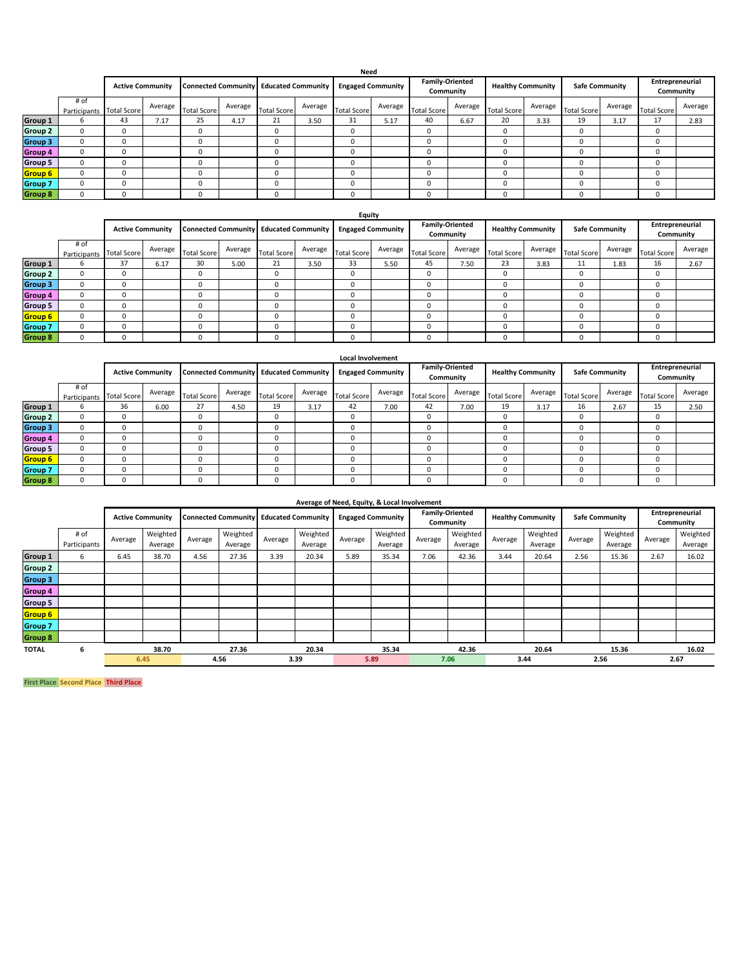|                |                         |                    |         |                    |                                        |                    |                          | Need               |                                     |                    |                          |                    |                       |                    |                              |                    |         |
|----------------|-------------------------|--------------------|---------|--------------------|----------------------------------------|--------------------|--------------------------|--------------------|-------------------------------------|--------------------|--------------------------|--------------------|-----------------------|--------------------|------------------------------|--------------------|---------|
|                | <b>Active Community</b> |                    |         |                    | Connected Community Educated Community |                    | <b>Engaged Community</b> |                    | <b>Family-Oriented</b><br>Community |                    | <b>Healthy Community</b> |                    | <b>Safe Community</b> |                    | Entrepreneurial<br>Community |                    |         |
|                | # of<br>Participants    | <b>Total Score</b> | Average | <b>Total Score</b> | Average                                | <b>Total Score</b> | Average                  | <b>Total Score</b> | Average                             | <b>Total Score</b> | Average                  | <b>Total Score</b> | Average               | <b>Total Score</b> | Average                      | <b>Total Score</b> | Average |
| Group 1        | b                       | 43                 | 7.17    | 25                 | 4.17                                   | 21                 | 3.50                     | 31                 | 5.17                                | 40                 | 6.67                     | 20                 | 3.33                  | 19                 | 3.17                         | 17                 | 2.83    |
| Group 2        | $\Omega$                |                    |         | $\Omega$           |                                        | 0                  |                          | 0                  |                                     | 0                  |                          | $\Omega$           |                       | 0                  |                              | 0                  |         |
| Group 3        | $\Omega$                |                    |         |                    |                                        | Ω                  |                          |                    |                                     | 0                  |                          | $\Omega$           |                       |                    |                              | 0                  |         |
| Group 4        | $\Omega$                |                    |         |                    |                                        | Ω                  |                          |                    |                                     | 0                  |                          | u                  |                       |                    |                              | 0                  |         |
| Group 5        | $\Omega$                |                    |         |                    |                                        | 0                  |                          | 0                  |                                     | 0                  |                          | $\Omega$           |                       | 0                  |                              | 0                  |         |
| Group 6        | 0                       |                    |         | $\Omega$           |                                        | 0                  |                          | $\Omega$           |                                     | 0                  |                          | 0                  |                       | $\Omega$           |                              | 0                  |         |
| <b>Group 7</b> | 0                       |                    |         | $\Omega$           |                                        | 0                  |                          | $\Omega$           |                                     | 0                  |                          | 0                  |                       | $\Omega$           |                              | 0                  |         |
| <b>Group 8</b> | $\Omega$                |                    |         | O                  |                                        | 0                  |                          | 0                  |                                     | 0                  |                          | 0                  |                       | $\Omega$           |                              | 0                  |         |

|                |                                  |    |                                               |                    |         |                    |                          | Equity             |                                     |                    |                          |                    |                       |                    |                              |                    |         |
|----------------|----------------------------------|----|-----------------------------------------------|--------------------|---------|--------------------|--------------------------|--------------------|-------------------------------------|--------------------|--------------------------|--------------------|-----------------------|--------------------|------------------------------|--------------------|---------|
|                | <b>Active Community</b>          |    | <b>Connected Community Educated Community</b> |                    |         |                    | <b>Engaged Community</b> |                    | <b>Family-Oriented</b><br>Community |                    | <b>Healthy Community</b> |                    | <b>Safe Community</b> |                    | Entrepreneurial<br>Community |                    |         |
|                | # of<br>Participants Total Score |    | Average                                       | <b>Total Score</b> | Average | <b>Total Score</b> | Average                  | <b>Total Score</b> | Average                             | <b>Total Score</b> | Average                  | <b>Total Score</b> | Average               | <b>Total Score</b> | Average                      | <b>Total Score</b> | Average |
| Group 1        | b                                | 37 | 6.17                                          | 30                 | 5.00    | 21                 | 3.50                     | 33                 | 5.50                                | 45                 | 7.50                     | 23                 | 3.83                  | 11                 | 1.83                         | 16                 | 2.67    |
| <b>Group 2</b> | $^{\circ}$                       |    |                                               | 0                  |         | $\Omega$           |                          | 0                  |                                     | 0                  |                          | 0                  |                       | 0                  |                              | $\Omega$           |         |
| <b>Group 3</b> | $^{\circ}$                       |    |                                               | 0                  |         | $\Omega$           |                          | 0                  |                                     | 0                  |                          | 0                  |                       | 0                  |                              | $\Omega$           |         |
| <b>Group 4</b> | $\Omega$                         |    |                                               | 0                  |         | 0                  |                          | 0                  |                                     | 0                  |                          | $\Omega$           |                       | 0                  |                              |                    |         |
| <b>Group 5</b> | $\Omega$                         |    |                                               | 0                  |         |                    |                          | $\Omega$           |                                     | 0                  |                          | $\Omega$           |                       | $\Omega$           |                              |                    |         |
| Group 6        | $\Omega$                         |    |                                               | 0                  |         |                    |                          | $\Omega$           |                                     | $\Omega$           |                          | $\Omega$           |                       | $\Omega$           |                              |                    |         |
| <b>Group 7</b> | <sup>n</sup>                     |    |                                               |                    |         |                    |                          | $\Omega$           |                                     | $\Omega$           |                          | $\Omega$           |                       | $\Omega$           |                              |                    |         |
| <b>Group 8</b> | $\Omega$                         |    |                                               |                    |         |                    |                          | $\Omega$           |                                     | 0                  |                          | $\Omega$           |                       | 0                  |                              |                    |         |

|                |                      |                         |         |                                               |         |                    |         | Local Involvement        |         |                                     |         |                          |         |                       |         |                              |         |
|----------------|----------------------|-------------------------|---------|-----------------------------------------------|---------|--------------------|---------|--------------------------|---------|-------------------------------------|---------|--------------------------|---------|-----------------------|---------|------------------------------|---------|
|                |                      | <b>Active Community</b> |         | <b>Connected Community Educated Community</b> |         |                    |         | <b>Engaged Community</b> |         | <b>Family-Oriented</b><br>Community |         | <b>Healthy Community</b> |         | <b>Safe Community</b> |         | Entrepreneurial<br>Community |         |
|                | # of<br>Participants | <b>Total Score</b>      | Average | <b>Total Score</b>                            | Average | <b>Total Score</b> | Average | <b>Total Score</b>       | Average | <b>Total Score</b>                  | Average | <b>Total Score</b>       | Average | <b>Total Score</b>    | Average | <b>Total Score</b>           | Average |
| Group 1        | b                    | 36                      | 6.00    | 27                                            | 4.50    | 19                 | 3.17    | 42                       | 7.00    | 42                                  | 7.00    | 19                       | 3.17    | 16                    | 2.67    | 15                           | 2.50    |
| Group 2        | $\Omega$             | $\Omega$                |         | $\Omega$                                      |         | 0                  |         | 0                        |         | 0                                   |         | $\Omega$                 |         | 0                     |         | 0                            |         |
| Group 3        | $\Omega$             | $\Omega$                |         | $\Omega$                                      |         | 0                  |         | 0                        |         | 0                                   |         | $\Omega$                 |         | 0                     |         | 0                            |         |
| Group 4        | $\Omega$             |                         |         |                                               |         | $\Omega$           |         | 0                        |         | 0                                   |         | $\Omega$                 |         | O                     |         | Ω                            |         |
| Group 5        |                      |                         |         |                                               |         | 0                  |         | 0                        |         | 0                                   |         | 0                        |         | 0                     |         | υ                            |         |
| Group 6        |                      |                         |         |                                               |         | 0                  |         |                          |         | 0                                   |         | $\Omega$                 |         | 0                     |         | υ                            |         |
| <b>Group 7</b> |                      |                         |         |                                               |         | 0                  |         |                          |         | 0                                   |         |                          |         | $\Omega$              |         | O                            |         |
| <b>Group 8</b> |                      |                         |         |                                               |         | 0                  |         |                          |         | 0                                   |         |                          |         | $\Omega$              |         | υ                            |         |

|                |                         |         |                     |                                               |                     |              |                     |                          | Average of Need, Equity, & Local Involvement |                                     |                     |                          |                     |                       |                     |                              |                     |
|----------------|-------------------------|---------|---------------------|-----------------------------------------------|---------------------|--------------|---------------------|--------------------------|----------------------------------------------|-------------------------------------|---------------------|--------------------------|---------------------|-----------------------|---------------------|------------------------------|---------------------|
|                | <b>Active Community</b> |         |                     | <b>Connected Community Educated Community</b> |                     |              |                     | <b>Engaged Community</b> |                                              | <b>Family-Oriented</b><br>Community |                     | <b>Healthy Community</b> |                     | <b>Safe Community</b> |                     | Entrepreneurial<br>Community |                     |
|                | # of<br>Participants    | Average | Weighted<br>Average | Average                                       | Weighted<br>Average | Average      | Weighted<br>Average | Average                  | Weighted<br>Average                          | Average                             | Weighted<br>Average | Average                  | Weighted<br>Average | Average               | Weighted<br>Average | Average                      | Weighted<br>Average |
| Group 1        | 6                       | 6.45    | 38.70               | 4.56                                          | 27.36               | 3.39         | 20.34               | 5.89                     | 35.34                                        | 7.06                                | 42.36               | 3.44                     | 20.64               | 2.56                  | 15.36               | 2.67                         | 16.02               |
| <b>Group 2</b> |                         |         |                     |                                               |                     |              |                     |                          |                                              |                                     |                     |                          |                     |                       |                     |                              |                     |
| Group 3        |                         |         |                     |                                               |                     |              |                     |                          |                                              |                                     |                     |                          |                     |                       |                     |                              |                     |
| Group 4        |                         |         |                     |                                               |                     |              |                     |                          |                                              |                                     |                     |                          |                     |                       |                     |                              |                     |
| Group 5        |                         |         |                     |                                               |                     |              |                     |                          |                                              |                                     |                     |                          |                     |                       |                     |                              |                     |
| Group 6        |                         |         |                     |                                               |                     |              |                     |                          |                                              |                                     |                     |                          |                     |                       |                     |                              |                     |
| <b>Group 7</b> |                         |         |                     |                                               |                     |              |                     |                          |                                              |                                     |                     |                          |                     |                       |                     |                              |                     |
| <b>Group 8</b> |                         |         |                     |                                               |                     |              |                     |                          |                                              |                                     |                     |                          |                     |                       |                     |                              |                     |
| <b>TOTAL</b>   | 6                       |         | 38.70               |                                               | 27.36               |              | 20.34               |                          | 35.34                                        |                                     | 42.36               |                          | 20.64               |                       | 15.36               |                              | 16.02               |
|                |                         | 6.45    |                     | 4.56                                          |                     | 3.39<br>5.89 |                     |                          | 7.06                                         |                                     | 3.44                |                          | 2.56                |                       | 2.67                |                              |                     |

**First Place Second Place Third Place**

Family Oriented Community

2nd - Active Community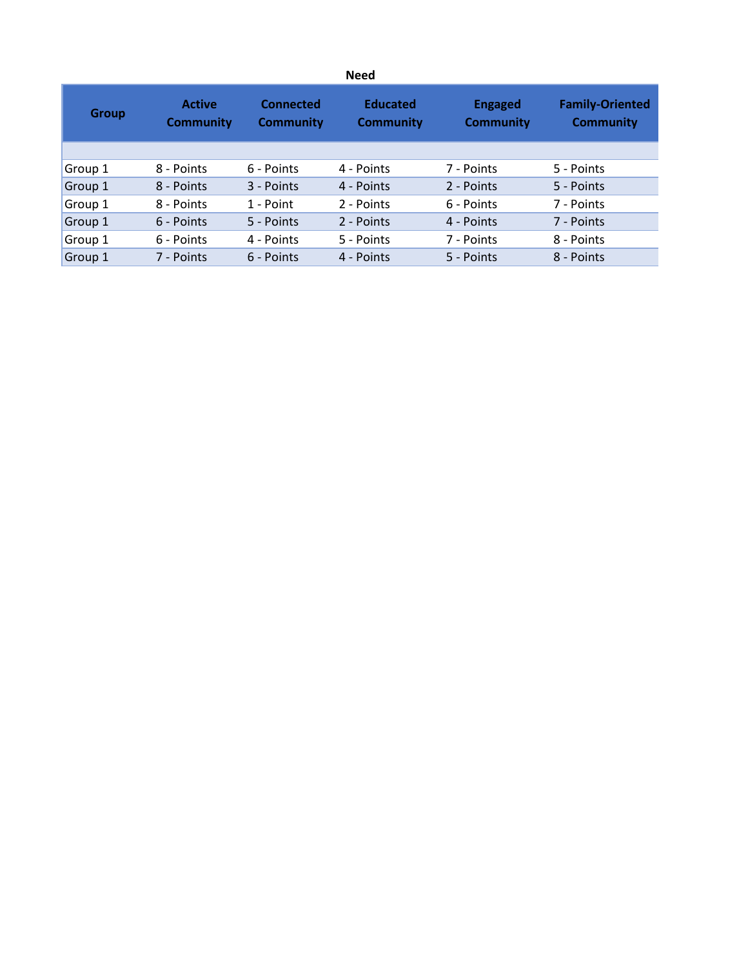|              |                                   |                                      | <b>Need</b>                         |                                    |                                            |
|--------------|-----------------------------------|--------------------------------------|-------------------------------------|------------------------------------|--------------------------------------------|
| <b>Group</b> | <b>Active</b><br><b>Community</b> | <b>Connected</b><br><b>Community</b> | <b>Educated</b><br><b>Community</b> | <b>Engaged</b><br><b>Community</b> | <b>Family-Oriented</b><br><b>Community</b> |
|              |                                   |                                      |                                     |                                    |                                            |
| Group 1      | 8 - Points                        | 6 - Points                           | 4 - Points                          | 7 - Points                         | 5 - Points                                 |
| Group 1      | 8 - Points                        | 3 - Points                           | 4 - Points                          | 2 - Points                         | 5 - Points                                 |
| Group 1      | 8 - Points                        | 1 - Point                            | 2 - Points                          | 6 - Points                         | 7 - Points                                 |
| Group 1      | 6 - Points                        | 5 - Points                           | 2 - Points                          | 4 - Points                         | 7 - Points                                 |
| Group 1      | 6 - Points                        | 4 - Points                           | 5 - Points                          | 7 - Points                         | 8 - Points                                 |
| Group 1      | 7 - Points                        | 6 - Points                           | 4 - Points                          | 5 - Points                         | 8 - Points                                 |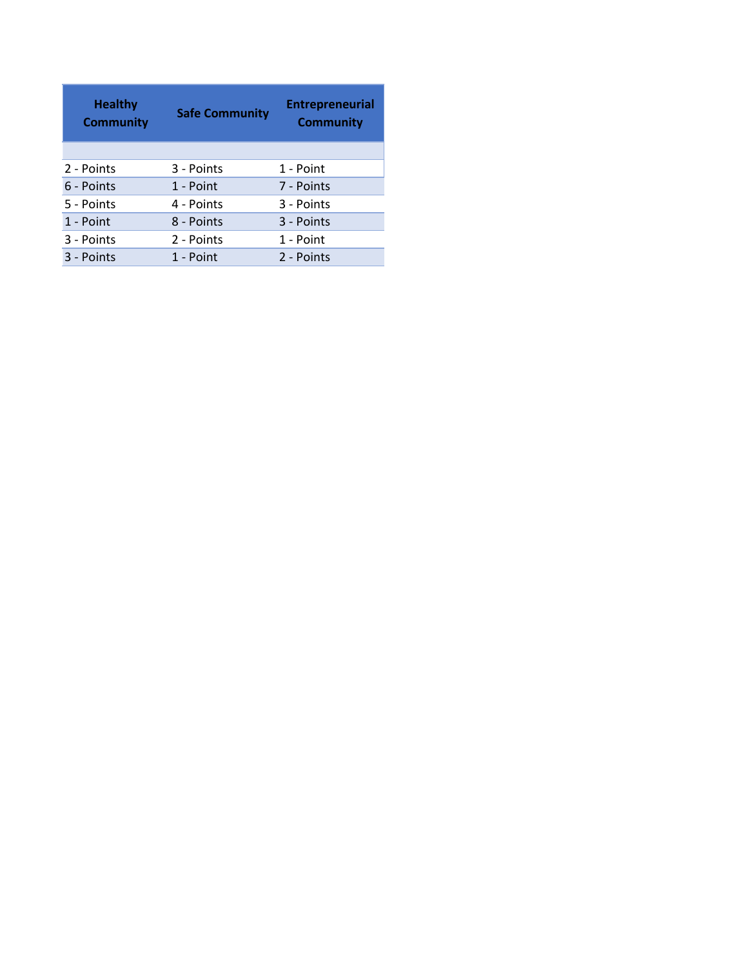| <b>Healthy</b><br><b>Community</b> | <b>Safe Community</b> | <b>Entrepreneurial</b><br><b>Community</b> |
|------------------------------------|-----------------------|--------------------------------------------|
|                                    |                       |                                            |
| 2 - Points                         | 3 - Points            | 1 - Point                                  |
| 6 - Points                         | 1 - Point             | 7 - Points                                 |
| 5 - Points                         | 4 - Points            | 3 - Points                                 |
| 1 - Point                          | 8 - Points            | 3 - Points                                 |
| 3 - Points                         | 2 - Points            | 1 - Point                                  |
| 3 - Points                         | 1 - Point             | 2 - Points                                 |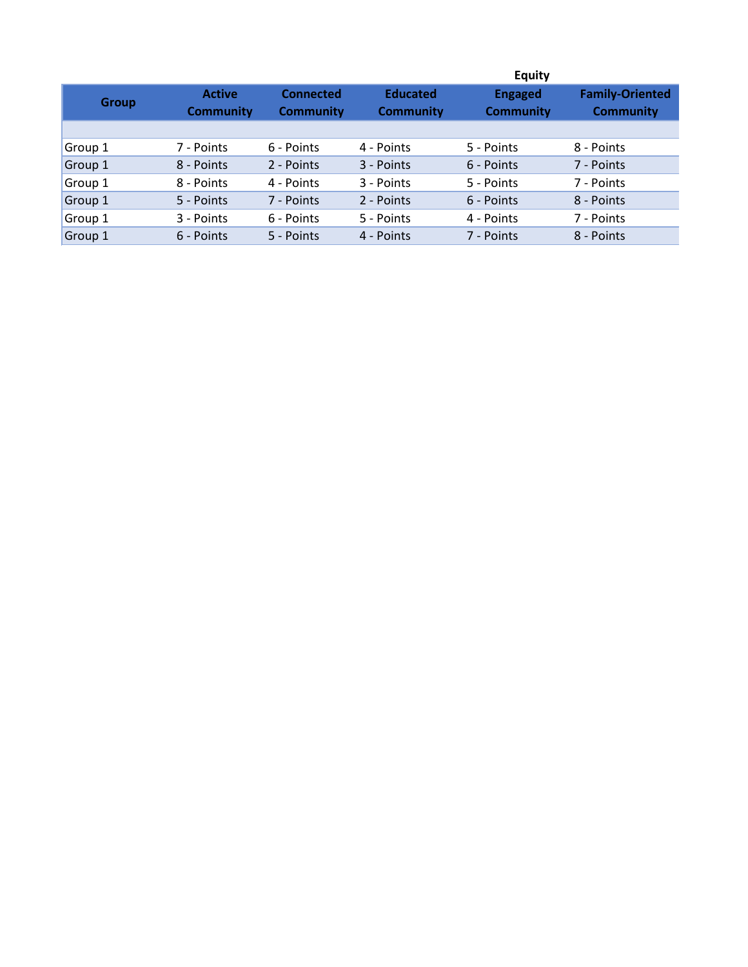|              |                                   |                                      |                                     | <b>Equity</b>                      |                                            |
|--------------|-----------------------------------|--------------------------------------|-------------------------------------|------------------------------------|--------------------------------------------|
| <b>Group</b> | <b>Active</b><br><b>Community</b> | <b>Connected</b><br><b>Community</b> | <b>Educated</b><br><b>Community</b> | <b>Engaged</b><br><b>Community</b> | <b>Family-Oriented</b><br><b>Community</b> |
|              |                                   |                                      |                                     |                                    |                                            |
| Group 1      | 7 - Points                        | 6 - Points                           | 4 - Points                          | 5 - Points                         | 8 - Points                                 |
| Group 1      | 8 - Points                        | 2 - Points                           | 3 - Points                          | 6 - Points                         | 7 - Points                                 |
| Group 1      | 8 - Points                        | 4 - Points                           | 3 - Points                          | 5 - Points                         | 7 - Points                                 |
| Group 1      | 5 - Points                        | 7 - Points                           | 2 - Points                          | 6 - Points                         | 8 - Points                                 |
| Group 1      | 3 - Points                        | 6 - Points                           | 5 - Points                          | 4 - Points                         | 7 - Points                                 |
| Group 1      | 6 - Points                        | 5 - Points                           | 4 - Points                          | 7 - Points                         | 8 - Points                                 |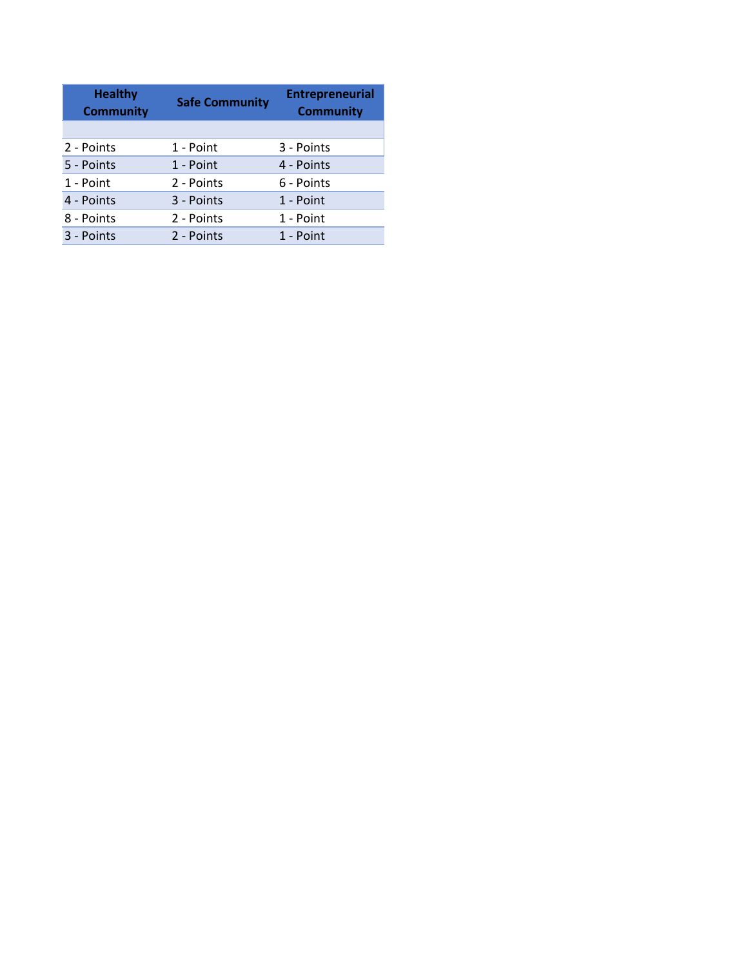| <b>Healthy</b><br><b>Community</b> | <b>Safe Community</b> | <b>Entrepreneurial</b><br><b>Community</b> |
|------------------------------------|-----------------------|--------------------------------------------|
|                                    |                       |                                            |
| 2 - Points                         | 1 - Point             | 3 - Points                                 |
| 5 - Points                         | 1 - Point             | 4 - Points                                 |
| 1 - Point                          | 2 - Points            | 6 - Points                                 |
| 4 - Points                         | 3 - Points            | 1 - Point                                  |
| 8 - Points                         | 2 - Points            | 1 - Point                                  |
| 3 - Points                         | 2 - Points            | 1 - Point                                  |
|                                    |                       |                                            |